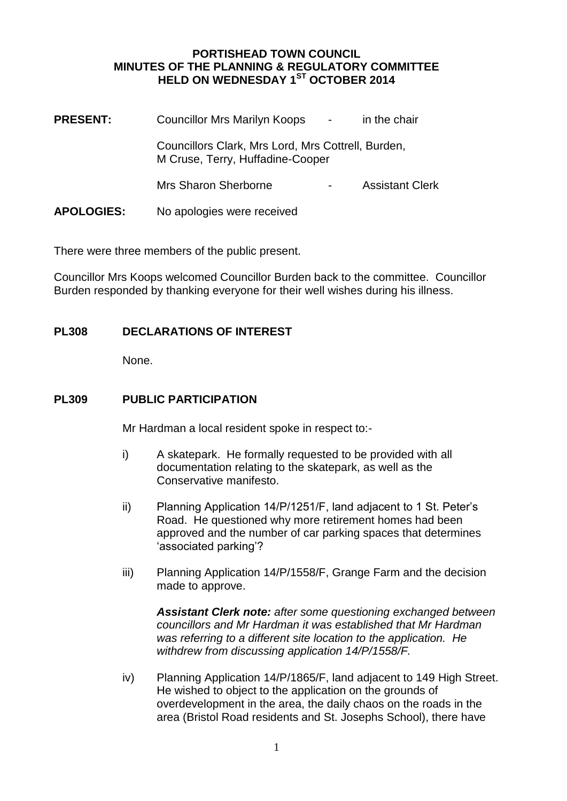#### **PORTISHEAD TOWN COUNCIL MINUTES OF THE PLANNING & REGULATORY COMMITTEE HELD ON WEDNESDAY 1ST OCTOBER 2014**

| <b>PRESENT:</b>   | <b>Councillor Mrs Marilyn Koops</b>                                                    | $\overline{\phantom{a}}$ | in the chair           |
|-------------------|----------------------------------------------------------------------------------------|--------------------------|------------------------|
|                   | Councillors Clark, Mrs Lord, Mrs Cottrell, Burden,<br>M Cruse, Terry, Huffadine-Cooper |                          |                        |
|                   | <b>Mrs Sharon Sherborne</b>                                                            |                          | <b>Assistant Clerk</b> |
| <b>APOLOGIES:</b> | No apologies were received                                                             |                          |                        |

There were three members of the public present.

Councillor Mrs Koops welcomed Councillor Burden back to the committee. Councillor Burden responded by thanking everyone for their well wishes during his illness.

#### **PL308 DECLARATIONS OF INTEREST**

None.

#### **PL309 PUBLIC PARTICIPATION**

Mr Hardman a local resident spoke in respect to:-

- i) A skatepark. He formally requested to be provided with all documentation relating to the skatepark, as well as the Conservative manifesto.
- ii) Planning Application 14/P/1251/F, land adjacent to 1 St. Peter's Road. He questioned why more retirement homes had been approved and the number of car parking spaces that determines 'associated parking'?
- iii) Planning Application 14/P/1558/F, Grange Farm and the decision made to approve.

*Assistant Clerk note: after some questioning exchanged between councillors and Mr Hardman it was established that Mr Hardman was referring to a different site location to the application. He withdrew from discussing application 14/P/1558/F.*

iv) Planning Application 14/P/1865/F, land adjacent to 149 High Street. He wished to object to the application on the grounds of overdevelopment in the area, the daily chaos on the roads in the area (Bristol Road residents and St. Josephs School), there have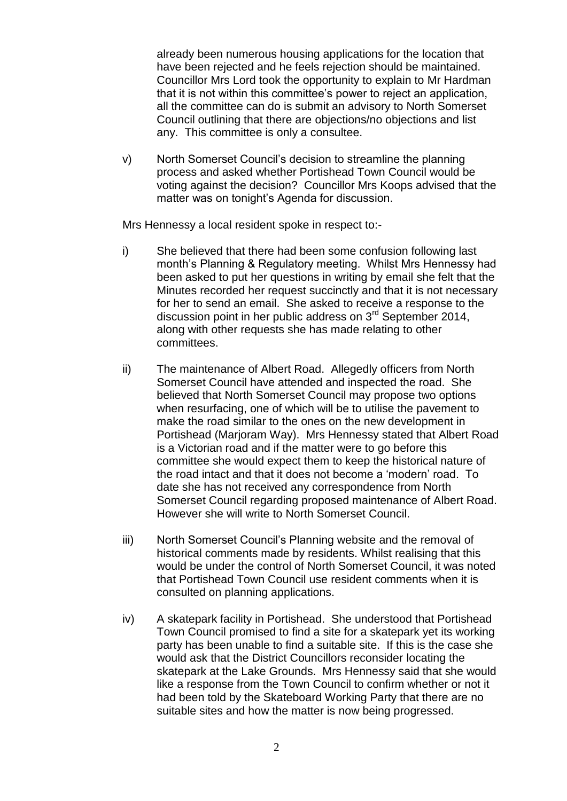already been numerous housing applications for the location that have been rejected and he feels rejection should be maintained. Councillor Mrs Lord took the opportunity to explain to Mr Hardman that it is not within this committee's power to reject an application, all the committee can do is submit an advisory to North Somerset Council outlining that there are objections/no objections and list any. This committee is only a consultee.

v) North Somerset Council's decision to streamline the planning process and asked whether Portishead Town Council would be voting against the decision? Councillor Mrs Koops advised that the matter was on tonight's Agenda for discussion.

Mrs Hennessy a local resident spoke in respect to:-

- i) She believed that there had been some confusion following last month's Planning & Regulatory meeting. Whilst Mrs Hennessy had been asked to put her questions in writing by email she felt that the Minutes recorded her request succinctly and that it is not necessary for her to send an email. She asked to receive a response to the discussion point in her public address on 3<sup>rd</sup> September 2014, along with other requests she has made relating to other committees.
- ii) The maintenance of Albert Road. Allegedly officers from North Somerset Council have attended and inspected the road. She believed that North Somerset Council may propose two options when resurfacing, one of which will be to utilise the pavement to make the road similar to the ones on the new development in Portishead (Marjoram Way). Mrs Hennessy stated that Albert Road is a Victorian road and if the matter were to go before this committee she would expect them to keep the historical nature of the road intact and that it does not become a 'modern' road. To date she has not received any correspondence from North Somerset Council regarding proposed maintenance of Albert Road. However she will write to North Somerset Council.
- iii) North Somerset Council's Planning website and the removal of historical comments made by residents. Whilst realising that this would be under the control of North Somerset Council, it was noted that Portishead Town Council use resident comments when it is consulted on planning applications.
- iv) A skatepark facility in Portishead. She understood that Portishead Town Council promised to find a site for a skatepark yet its working party has been unable to find a suitable site. If this is the case she would ask that the District Councillors reconsider locating the skatepark at the Lake Grounds. Mrs Hennessy said that she would like a response from the Town Council to confirm whether or not it had been told by the Skateboard Working Party that there are no suitable sites and how the matter is now being progressed.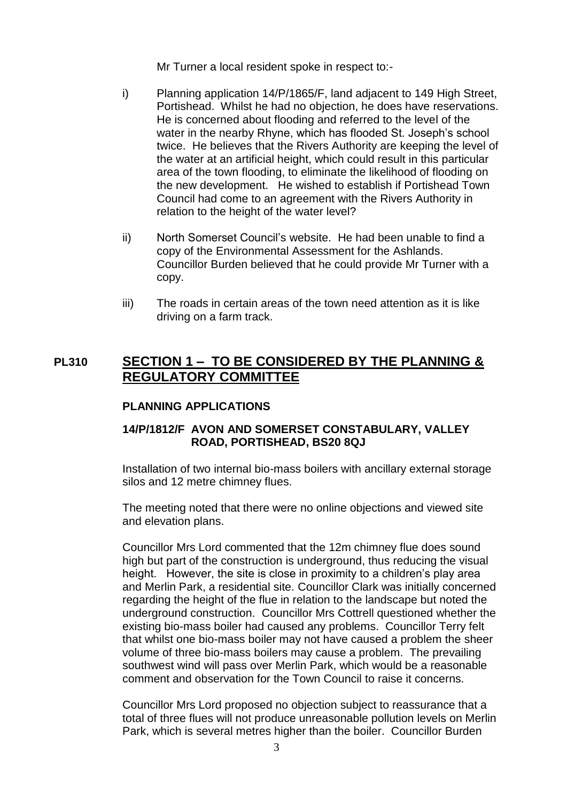Mr Turner a local resident spoke in respect to:-

- i) Planning application 14/P/1865/F, land adjacent to 149 High Street, Portishead. Whilst he had no objection, he does have reservations. He is concerned about flooding and referred to the level of the water in the nearby Rhyne, which has flooded St. Joseph's school twice. He believes that the Rivers Authority are keeping the level of the water at an artificial height, which could result in this particular area of the town flooding, to eliminate the likelihood of flooding on the new development. He wished to establish if Portishead Town Council had come to an agreement with the Rivers Authority in relation to the height of the water level?
- ii) North Somerset Council's website. He had been unable to find a copy of the Environmental Assessment for the Ashlands. Councillor Burden believed that he could provide Mr Turner with a copy.
- iii) The roads in certain areas of the town need attention as it is like driving on a farm track.

# **PL310 SECTION 1 – TO BE CONSIDERED BY THE PLANNING & REGULATORY COMMITTEE**

#### **PLANNING APPLICATIONS**

#### **14/P/1812/F AVON AND SOMERSET CONSTABULARY, VALLEY ROAD, PORTISHEAD, BS20 8QJ**

Installation of two internal bio-mass boilers with ancillary external storage silos and 12 metre chimney flues.

The meeting noted that there were no online objections and viewed site and elevation plans.

Councillor Mrs Lord commented that the 12m chimney flue does sound high but part of the construction is underground, thus reducing the visual height. However, the site is close in proximity to a children's play area and Merlin Park, a residential site. Councillor Clark was initially concerned regarding the height of the flue in relation to the landscape but noted the underground construction. Councillor Mrs Cottrell questioned whether the existing bio-mass boiler had caused any problems. Councillor Terry felt that whilst one bio-mass boiler may not have caused a problem the sheer volume of three bio-mass boilers may cause a problem. The prevailing southwest wind will pass over Merlin Park, which would be a reasonable comment and observation for the Town Council to raise it concerns.

Councillor Mrs Lord proposed no objection subject to reassurance that a total of three flues will not produce unreasonable pollution levels on Merlin Park, which is several metres higher than the boiler. Councillor Burden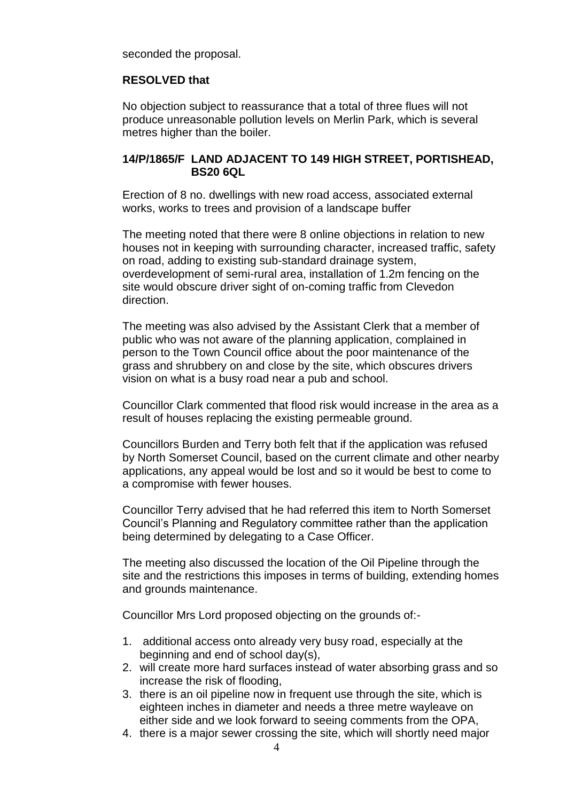seconded the proposal.

#### **RESOLVED that**

No objection subject to reassurance that a total of three flues will not produce unreasonable pollution levels on Merlin Park, which is several metres higher than the boiler.

#### **14/P/1865/F LAND ADJACENT TO 149 HIGH STREET, PORTISHEAD, BS20 6QL**

Erection of 8 no. dwellings with new road access, associated external works, works to trees and provision of a landscape buffer

The meeting noted that there were 8 online objections in relation to new houses not in keeping with surrounding character, increased traffic, safety on road, adding to existing sub-standard drainage system, overdevelopment of semi-rural area, installation of 1.2m fencing on the site would obscure driver sight of on-coming traffic from Clevedon direction.

The meeting was also advised by the Assistant Clerk that a member of public who was not aware of the planning application, complained in person to the Town Council office about the poor maintenance of the grass and shrubbery on and close by the site, which obscures drivers vision on what is a busy road near a pub and school.

Councillor Clark commented that flood risk would increase in the area as a result of houses replacing the existing permeable ground.

Councillors Burden and Terry both felt that if the application was refused by North Somerset Council, based on the current climate and other nearby applications, any appeal would be lost and so it would be best to come to a compromise with fewer houses.

Councillor Terry advised that he had referred this item to North Somerset Council's Planning and Regulatory committee rather than the application being determined by delegating to a Case Officer.

The meeting also discussed the location of the Oil Pipeline through the site and the restrictions this imposes in terms of building, extending homes and grounds maintenance.

Councillor Mrs Lord proposed objecting on the grounds of:-

- 1. additional access onto already very busy road, especially at the beginning and end of school day(s),
- 2. will create more hard surfaces instead of water absorbing grass and so increase the risk of flooding,
- 3. there is an oil pipeline now in frequent use through the site, which is eighteen inches in diameter and needs a three metre wayleave on either side and we look forward to seeing comments from the OPA,
- 4. there is a major sewer crossing the site, which will shortly need major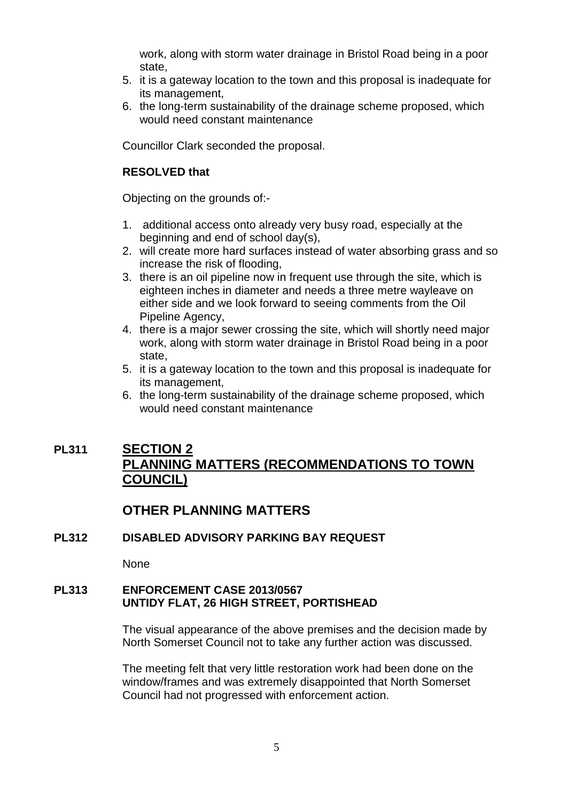work, along with storm water drainage in Bristol Road being in a poor state,

- 5. it is a gateway location to the town and this proposal is inadequate for its management,
- 6. the long-term sustainability of the drainage scheme proposed, which would need constant maintenance

Councillor Clark seconded the proposal.

# **RESOLVED that**

Objecting on the grounds of:-

- 1. additional access onto already very busy road, especially at the beginning and end of school day(s),
- 2. will create more hard surfaces instead of water absorbing grass and so increase the risk of flooding,
- 3. there is an oil pipeline now in frequent use through the site, which is eighteen inches in diameter and needs a three metre wayleave on either side and we look forward to seeing comments from the Oil Pipeline Agency,
- 4. there is a major sewer crossing the site, which will shortly need major work, along with storm water drainage in Bristol Road being in a poor state,
- 5. it is a gateway location to the town and this proposal is inadequate for its management,
- 6. the long-term sustainability of the drainage scheme proposed, which would need constant maintenance

# **PL311 SECTION 2 PLANNING MATTERS (RECOMMENDATIONS TO TOWN COUNCIL)**

# **OTHER PLANNING MATTERS**

## **PL312 DISABLED ADVISORY PARKING BAY REQUEST**

None

## **PL313 ENFORCEMENT CASE 2013/0567 UNTIDY FLAT, 26 HIGH STREET, PORTISHEAD**

The visual appearance of the above premises and the decision made by North Somerset Council not to take any further action was discussed.

The meeting felt that very little restoration work had been done on the window/frames and was extremely disappointed that North Somerset Council had not progressed with enforcement action.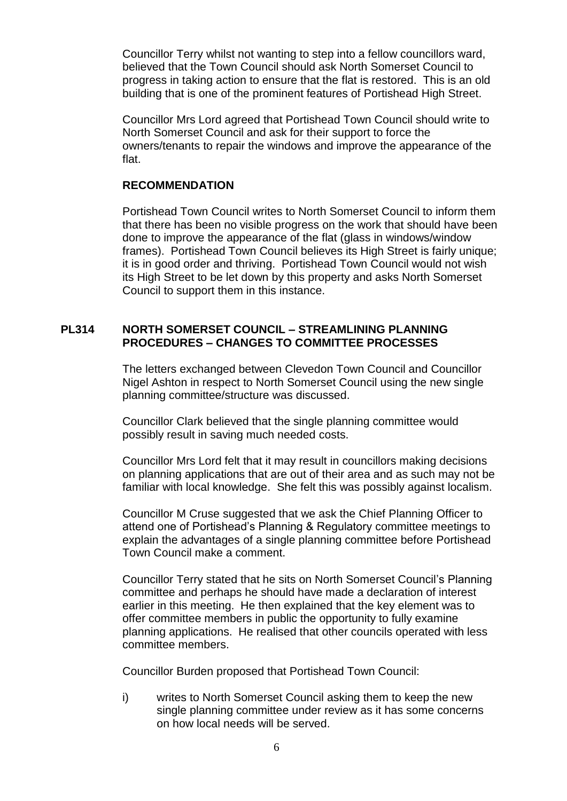Councillor Terry whilst not wanting to step into a fellow councillors ward, believed that the Town Council should ask North Somerset Council to progress in taking action to ensure that the flat is restored. This is an old building that is one of the prominent features of Portishead High Street.

Councillor Mrs Lord agreed that Portishead Town Council should write to North Somerset Council and ask for their support to force the owners/tenants to repair the windows and improve the appearance of the flat.

#### **RECOMMENDATION**

Portishead Town Council writes to North Somerset Council to inform them that there has been no visible progress on the work that should have been done to improve the appearance of the flat (glass in windows/window frames). Portishead Town Council believes its High Street is fairly unique; it is in good order and thriving. Portishead Town Council would not wish its High Street to be let down by this property and asks North Somerset Council to support them in this instance.

#### **PL314 NORTH SOMERSET COUNCIL – STREAMLINING PLANNING PROCEDURES – CHANGES TO COMMITTEE PROCESSES**

The letters exchanged between Clevedon Town Council and Councillor Nigel Ashton in respect to North Somerset Council using the new single planning committee/structure was discussed.

Councillor Clark believed that the single planning committee would possibly result in saving much needed costs.

Councillor Mrs Lord felt that it may result in councillors making decisions on planning applications that are out of their area and as such may not be familiar with local knowledge. She felt this was possibly against localism.

Councillor M Cruse suggested that we ask the Chief Planning Officer to attend one of Portishead's Planning & Regulatory committee meetings to explain the advantages of a single planning committee before Portishead Town Council make a comment.

Councillor Terry stated that he sits on North Somerset Council's Planning committee and perhaps he should have made a declaration of interest earlier in this meeting. He then explained that the key element was to offer committee members in public the opportunity to fully examine planning applications. He realised that other councils operated with less committee members.

Councillor Burden proposed that Portishead Town Council:

i) writes to North Somerset Council asking them to keep the new single planning committee under review as it has some concerns on how local needs will be served.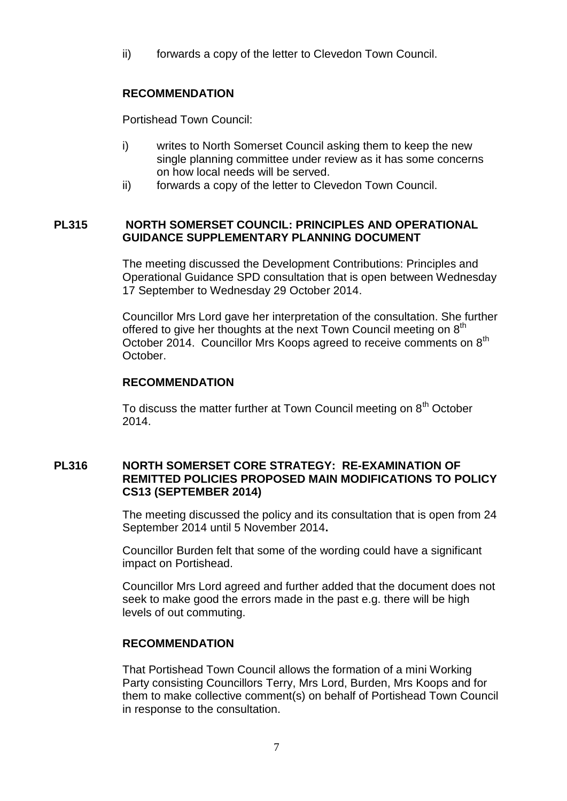ii) forwards a copy of the letter to Clevedon Town Council.

## **RECOMMENDATION**

Portishead Town Council:

- i) writes to North Somerset Council asking them to keep the new single planning committee under review as it has some concerns on how local needs will be served.
- ii) forwards a copy of the letter to Clevedon Town Council.

#### **PL315 NORTH SOMERSET COUNCIL: PRINCIPLES AND OPERATIONAL GUIDANCE SUPPLEMENTARY PLANNING DOCUMENT**

The meeting discussed the Development Contributions: Principles and Operational Guidance SPD consultation that is open between Wednesday 17 September to Wednesday 29 October 2014.

Councillor Mrs Lord gave her interpretation of the consultation. She further offered to give her thoughts at the next Town Council meeting on 8<sup>th</sup> October 2014. Councillor Mrs Koops agreed to receive comments on 8<sup>th</sup> October.

## **RECOMMENDATION**

To discuss the matter further at Town Council meeting on 8<sup>th</sup> October 2014.

#### **PL316 NORTH SOMERSET CORE STRATEGY: RE-EXAMINATION OF REMITTED POLICIES PROPOSED MAIN MODIFICATIONS TO POLICY CS13 (SEPTEMBER 2014)**

The meeting discussed the policy and its consultation that is open from 24 September 2014 until 5 November 2014**.**

Councillor Burden felt that some of the wording could have a significant impact on Portishead.

Councillor Mrs Lord agreed and further added that the document does not seek to make good the errors made in the past e.g. there will be high levels of out commuting.

#### **RECOMMENDATION**

That Portishead Town Council allows the formation of a mini Working Party consisting Councillors Terry, Mrs Lord, Burden, Mrs Koops and for them to make collective comment(s) on behalf of Portishead Town Council in response to the consultation.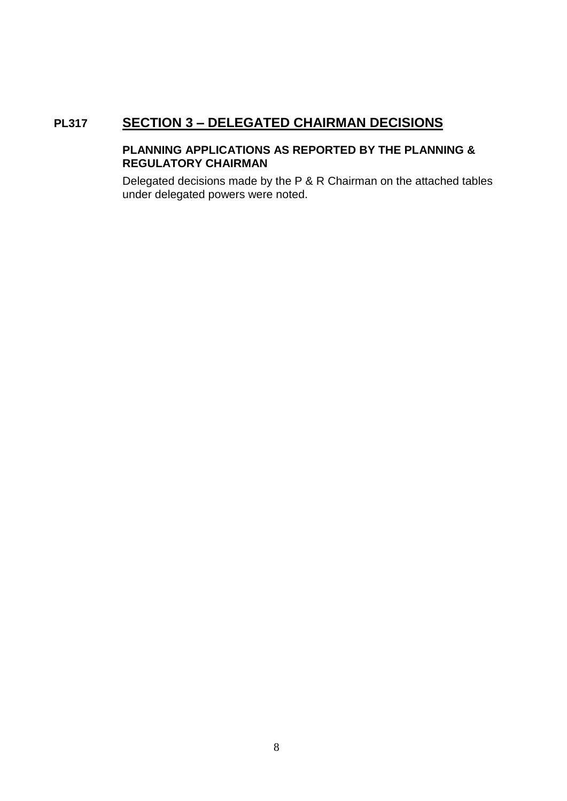# **PL317 SECTION 3 – DELEGATED CHAIRMAN DECISIONS**

## **PLANNING APPLICATIONS AS REPORTED BY THE PLANNING & REGULATORY CHAIRMAN**

Delegated decisions made by the P & R Chairman on the attached tables under delegated powers were noted.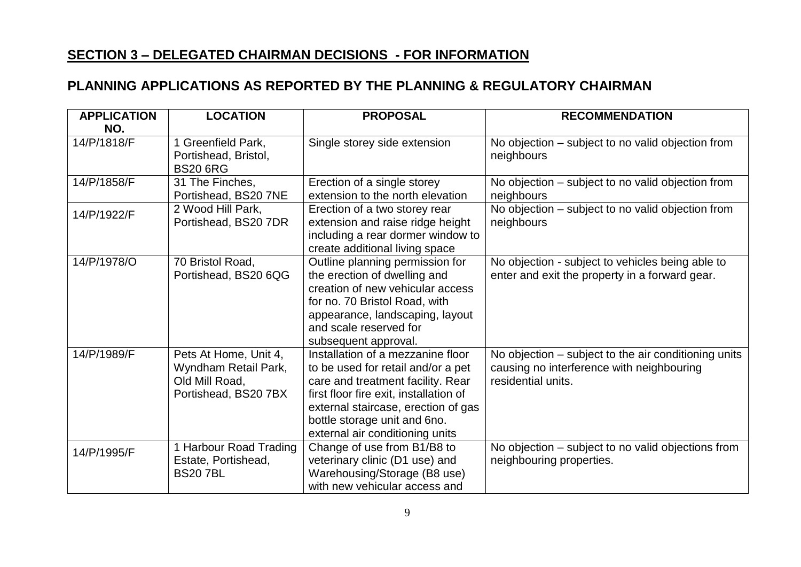# **SECTION 3 – DELEGATED CHAIRMAN DECISIONS - FOR INFORMATION**

# **PLANNING APPLICATIONS AS REPORTED BY THE PLANNING & REGULATORY CHAIRMAN**

| <b>APPLICATION</b><br>NO. | <b>LOCATION</b>                                                                         | <b>PROPOSAL</b>                                                                                                                                                                                                                                                  | <b>RECOMMENDATION</b>                                                                                                   |
|---------------------------|-----------------------------------------------------------------------------------------|------------------------------------------------------------------------------------------------------------------------------------------------------------------------------------------------------------------------------------------------------------------|-------------------------------------------------------------------------------------------------------------------------|
| 14/P/1818/F               | 1 Greenfield Park,<br>Portishead, Bristol,<br><b>BS20 6RG</b>                           | Single storey side extension                                                                                                                                                                                                                                     | No objection - subject to no valid objection from<br>neighbours                                                         |
| 14/P/1858/F               | 31 The Finches,<br>Portishead, BS20 7NE                                                 | Erection of a single storey<br>extension to the north elevation                                                                                                                                                                                                  | No objection - subject to no valid objection from<br>neighbours                                                         |
| 14/P/1922/F               | 2 Wood Hill Park,<br>Portishead, BS20 7DR                                               | Erection of a two storey rear<br>extension and raise ridge height<br>including a rear dormer window to<br>create additional living space                                                                                                                         | No objection - subject to no valid objection from<br>neighbours                                                         |
| 14/P/1978/O               | 70 Bristol Road,<br>Portishead, BS20 6QG                                                | Outline planning permission for<br>the erection of dwelling and<br>creation of new vehicular access<br>for no. 70 Bristol Road, with<br>appearance, landscaping, layout<br>and scale reserved for<br>subsequent approval.                                        | No objection - subject to vehicles being able to<br>enter and exit the property in a forward gear.                      |
| 14/P/1989/F               | Pets At Home, Unit 4,<br>Wyndham Retail Park,<br>Old Mill Road,<br>Portishead, BS20 7BX | Installation of a mezzanine floor<br>to be used for retail and/or a pet<br>care and treatment facility. Rear<br>first floor fire exit, installation of<br>external staircase, erection of gas<br>bottle storage unit and 6no.<br>external air conditioning units | No objection – subject to the air conditioning units<br>causing no interference with neighbouring<br>residential units. |
| 14/P/1995/F               | 1 Harbour Road Trading<br>Estate, Portishead,<br><b>BS207BL</b>                         | Change of use from B1/B8 to<br>veterinary clinic (D1 use) and<br>Warehousing/Storage (B8 use)<br>with new vehicular access and                                                                                                                                   | No objection – subject to no valid objections from<br>neighbouring properties.                                          |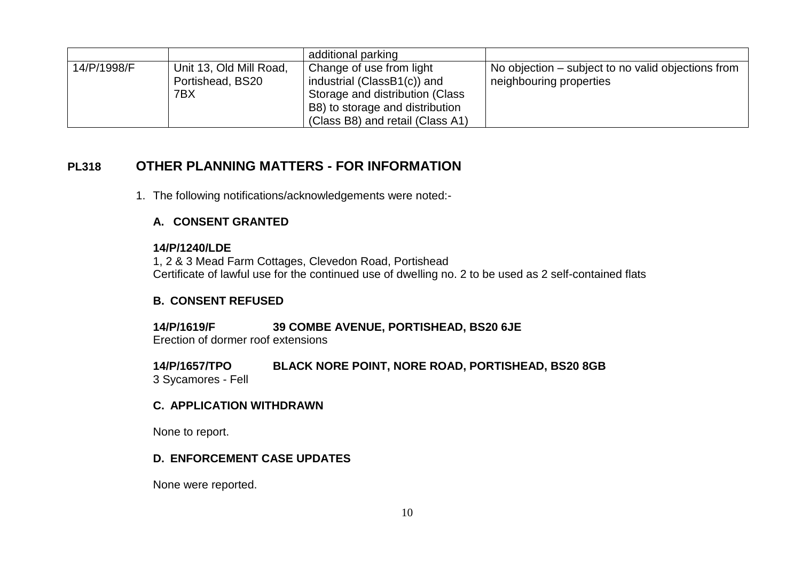|             |                         | additional parking               |                                                    |
|-------------|-------------------------|----------------------------------|----------------------------------------------------|
| 14/P/1998/F | Unit 13, Old Mill Road, | Change of use from light         | No objection – subject to no valid objections from |
|             | Portishead, BS20        | industrial (ClassB1(c)) and      | neighbouring properties                            |
|             | 7BX                     | Storage and distribution (Class  |                                                    |
|             |                         | B8) to storage and distribution  |                                                    |
|             |                         | (Class B8) and retail (Class A1) |                                                    |

# **PL318 OTHER PLANNING MATTERS - FOR INFORMATION**

1. The following notifications/acknowledgements were noted:-

# **A. CONSENT GRANTED**

#### **14/P/1240/LDE**

1, 2 & 3 Mead Farm Cottages, Clevedon Road, Portishead Certificate of lawful use for the continued use of dwelling no. 2 to be used as 2 self-contained flats

## **B. CONSENT REFUSED**

**14/P/1619/F 39 COMBE AVENUE, PORTISHEAD, BS20 6JE** Erection of dormer roof extensions

**14/P/1657/TPO BLACK NORE POINT, NORE ROAD, PORTISHEAD, BS20 8GB** 3 Sycamores - Fell

## **C. APPLICATION WITHDRAWN**

None to report.

# **D. ENFORCEMENT CASE UPDATES**

None were reported.